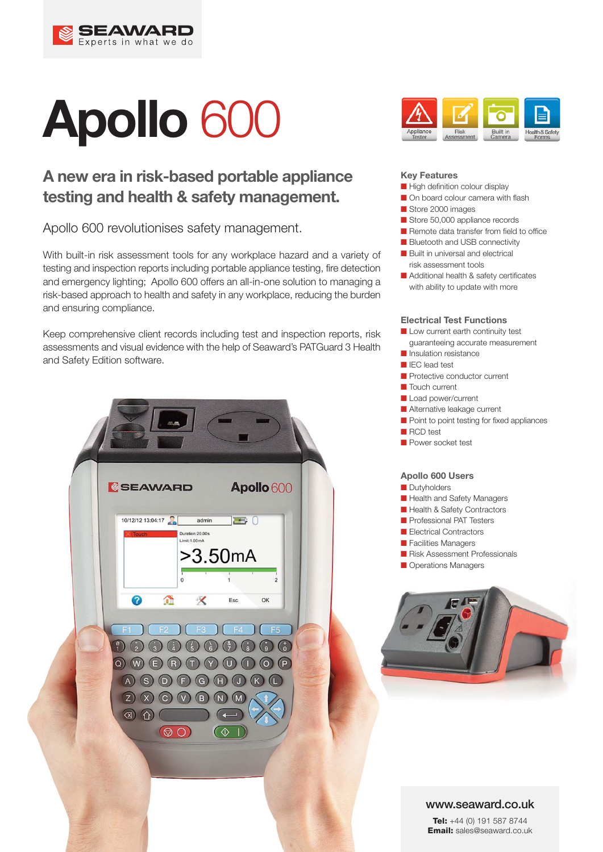

# **Apollo** 600

# **A new era in risk-based portable appliance testing and health & safety management.**

Apollo 600 revolutionises safety management.

With built-in risk assessment tools for any workplace hazard and a variety of testing and inspection reports including portable appliance testing, fire detection and emergency lighting; Apollo 600 offers an all-in-one solution to managing a risk-based approach to health and safety in any workplace, reducing the burden and ensuring compliance.

Keep comprehensive client records including test and inspection reports, risk assessments and visual evidence with the help of Seaward's PATGuard 3 Health and Safety Edition software.





#### **Key Features**

- High definition colour display
- On board colour camera with flash
- Store 2000 images
- Store 50,000 appliance records
- Remote data transfer from field to office
- Bluetooth and USB connectivity
- Built in universal and electrical risk assessment tools
- Additional health & safety certificates with ability to update with more

#### **Electrical Test Functions**

- Low current earth continuity test guaranteeing accurate measurement
- Insulation resistance
- IEC lead test
- Protective conductor current
- Touch current
- Load power/current
- Alternative leakage current
- Point to point testing for fixed appliances
- RCD test
- Power socket test

#### **Apollo 600 Users**

- Dutyholders
- Health and Safety Managers
- Health & Safety Contractors
- Professional PAT Testers
- Electrical Contractors
- Facilities Managers
- Risk Assessment Professionals
- Operations Managers



#### **www.seaward.co.uk**

**Tel:** +44 (0) 191 587 8744 **Email:** sales@seaward.co.uk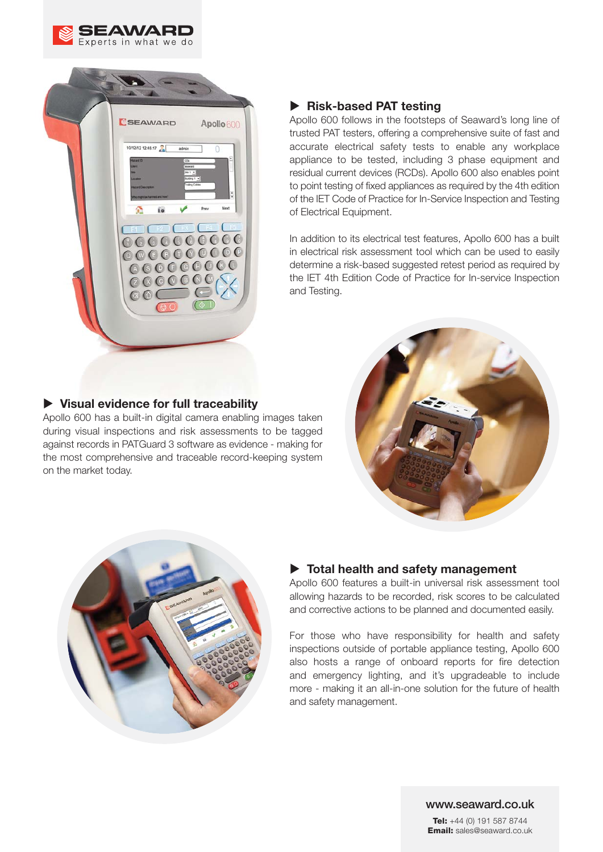



# - **Risk-based PAT testing**

Apollo 600 follows in the footsteps of Seaward's long line of trusted PAT testers, offering a comprehensive suite of fast and accurate electrical safety tests to enable any workplace appliance to be tested, including 3 phase equipment and residual current devices (RCDs). Apollo 600 also enables point to point testing of fixed appliances as required by the 4th edition of the IET Code of Practice for In-Service Inspection and Testing of Electrical Equipment.

In addition to its electrical test features, Apollo 600 has a built in electrical risk assessment tool which can be used to easily determine a risk-based suggested retest period as required by the IET 4th Edition Code of Practice for In-service Inspection and Testing.

# - **Visual evidence for full traceability**

Apollo 600 has a built-in digital camera enabling images taken during visual inspections and risk assessments to be tagged against records in PATGuard 3 software as evidence - making for the most comprehensive and traceable record-keeping system on the market today.





## - **Total health and safety management**

Apollo 600 features a built-in universal risk assessment tool allowing hazards to be recorded, risk scores to be calculated and corrective actions to be planned and documented easily.

For those who have responsibility for health and safety inspections outside of portable appliance testing, Apollo 600 also hosts a range of onboard reports for fire detection and emergency lighting, and it's upgradeable to include more - making it an all-in-one solution for the future of health and safety management.

#### **www.seaward.co.uk**

**Tel:** +44 (0) 191 587 8744 **Email:** sales@seaward.co.uk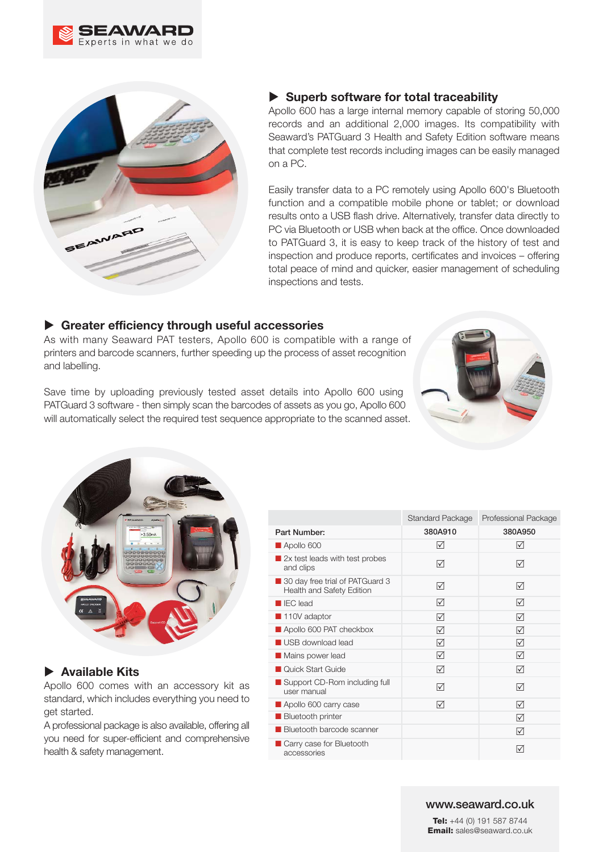



# - **Superb software for total traceability**

Apollo 600 has a large internal memory capable of storing 50,000 records and an additional 2,000 images. Its compatibility with Seaward's PATGuard 3 Health and Safety Edition software means that complete test records including images can be easily managed on a PC.

Easily transfer data to a PC remotely using Apollo 600's Bluetooth function and a compatible mobile phone or tablet; or download results onto a USB flash drive. Alternatively, transfer data directly to PC via Bluetooth or USB when back at the office. Once downloaded to PATGuard 3, it is easy to keep track of the history of test and inspection and produce reports, certificates and invoices – offering total peace of mind and quicker, easier management of scheduling inspections and tests.

## - **Greater efficiency through useful accessories**

As with many Seaward PAT testers, Apollo 600 is compatible with a range of printers and barcode scanners, further speeding up the process of asset recognition and labelling.

Save time by uploading previously tested asset details into Apollo 600 using PATGuard 3 software - then simply scan the barcodes of assets as you go, Apollo 600 will automatically select the required test sequence appropriate to the scanned asset.





## - **Available Kits**

Apollo 600 comes with an accessory kit as standard, which includes everything you need to get started.

A professional package is also available, offering all you need for super-efficient and comprehensive health & safety management.

|                                                              | <b>Standard Package</b> | Professional Package |
|--------------------------------------------------------------|-------------------------|----------------------|
| Part Number:                                                 | 380A910                 | 380A950              |
| Apollo 600                                                   | M                       | M                    |
| 2x test leads with test probes<br>and clips                  | ا∨ا                     | ☑                    |
| 30 day free trial of PATGuard 3<br>Health and Safety Edition | ا∨ا                     | ☑                    |
| <b>EC</b> lead                                               | M                       | ا∨ا                  |
| 110V adaptor                                                 | ا∨ا                     | $\sqrt{}$            |
| Apollo 600 PAT checkbox                                      | IМ                      | IЛ                   |
| USB download lead                                            | $\sqrt{}$               | $\sqrt{}$            |
| Mains power lead                                             | ☑                       | ☑                    |
| Quick Start Guide                                            | ☑                       | ☑                    |
| ■ Support CD-Rom including full<br>user manual               | IЛ                      | ا∨ا                  |
| Apollo 600 carry case                                        | ا∨ا                     | ا∨ا                  |
| <b>Bluetooth printer</b>                                     |                         | ☑                    |
| <b>Bluetooth barcode scanner</b>                             |                         | ا∨ا                  |
| Carry case for Bluetooth<br>accessories                      |                         | I√                   |

#### **www.seaward.co.uk**

**Tel:** +44 (0) 191 587 8744 **Email:** sales@seaward.co.uk